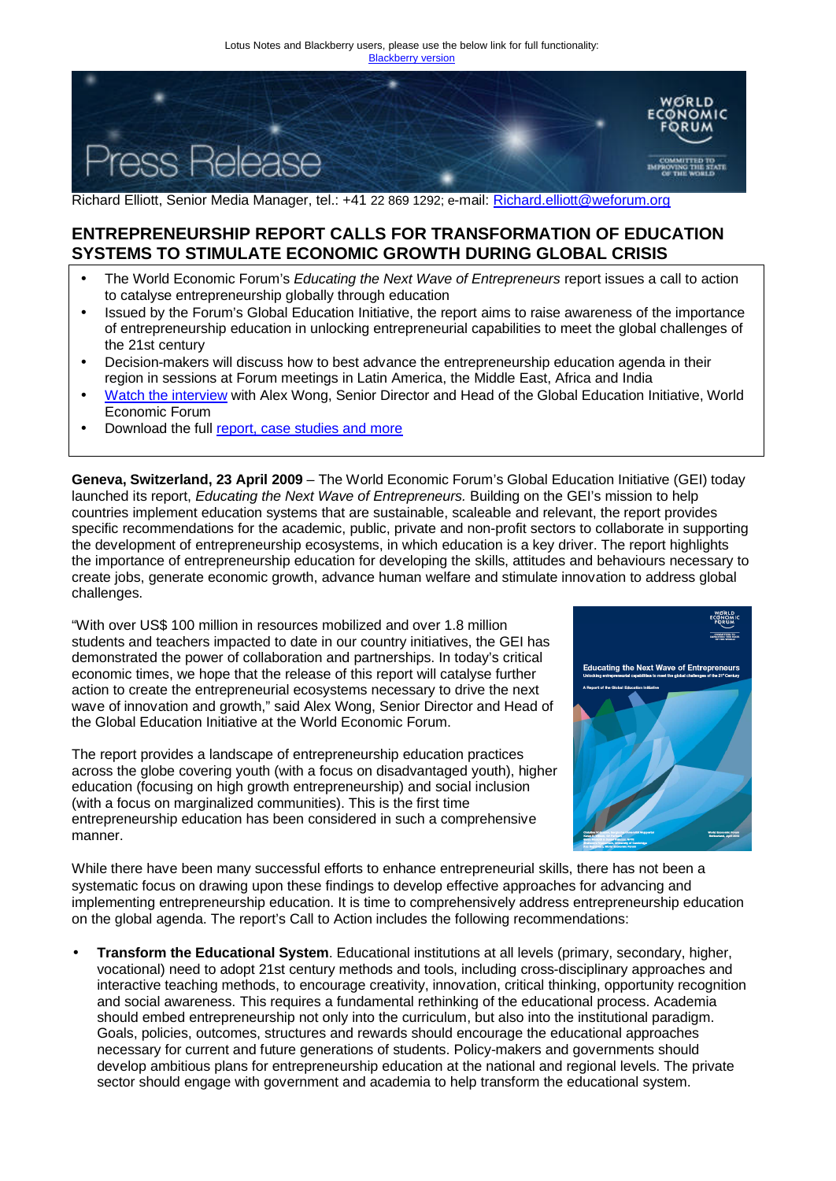

Richard Elliott, Senior Media Manager, tel.: +41 22 869 1292; e-mail: Richard.elliott@weforum.org

## **ENTREPRENEURSHIP REPORT CALLS FOR TRANSFORMATION OF EDUCATION SYSTEMS TO STIMULATE ECONOMIC GROWTH DURING GLOBAL CRISIS**

- The World Economic Forum's *Educating the Next Wave of Entrepreneurs* report issues a call to action to catalyse entrepreneurship globally through education
- Issued by the Forum's Global Education Initiative, the report aims to raise awareness of the importance of entrepreneurship education in unlocking entrepreneurial capabilities to meet the global challenges of the 21st century
- Decision-makers will discuss how to best advance the entrepreneurship education agenda in their region in sessions at Forum meetings in Latin America, the Middle East, Africa and India
- Watch the interview with Alex Wong, Senior Director and Head of the Global Education Initiative, World Economic Forum
- Download the full report, case studies and more

**Geneva, Switzerland, 23 April 2009** – The World Economic Forum's Global Education Initiative (GEI) today launched its report, *Educating the Next Wave of Entrepreneurs.* Building on the GEI's mission to help countries implement education systems that are sustainable, scaleable and relevant, the report provides specific recommendations for the academic, public, private and non-profit sectors to collaborate in supporting the development of entrepreneurship ecosystems, in which education is a key driver. The report highlights the importance of entrepreneurship education for developing the skills, attitudes and behaviours necessary to create jobs, generate economic growth, advance human welfare and stimulate innovation to address global challenges.

"With over US\$ 100 million in resources mobilized and over 1.8 million students and teachers impacted to date in our country initiatives, the GEI has demonstrated the power of collaboration and partnerships. In today's critical economic times, we hope that the release of this report will catalyse further action to create the entrepreneurial ecosystems necessary to drive the next wave of innovation and growth," said Alex Wong, Senior Director and Head of the Global Education Initiative at the World Economic Forum.

The report provides a landscape of entrepreneurship education practices across the globe covering youth (with a focus on disadvantaged youth), higher education (focusing on high growth entrepreneurship) and social inclusion (with a focus on marginalized communities). This is the first time entrepreneurship education has been considered in such a comprehensive manner.



While there have been many successful efforts to enhance entrepreneurial skills, there has not been a systematic focus on drawing upon these findings to develop effective approaches for advancing and implementing entrepreneurship education. It is time to comprehensively address entrepreneurship education on the global agenda. The report's Call to Action includes the following recommendations:

• **Transform the Educational System**. Educational institutions at all levels (primary, secondary, higher, vocational) need to adopt 21st century methods and tools, including cross-disciplinary approaches and interactive teaching methods, to encourage creativity, innovation, critical thinking, opportunity recognition and social awareness. This requires a fundamental rethinking of the educational process. Academia should embed entrepreneurship not only into the curriculum, but also into the institutional paradigm. Goals, policies, outcomes, structures and rewards should encourage the educational approaches necessary for current and future generations of students. Policy-makers and governments should develop ambitious plans for entrepreneurship education at the national and regional levels. The private sector should engage with government and academia to help transform the educational system.